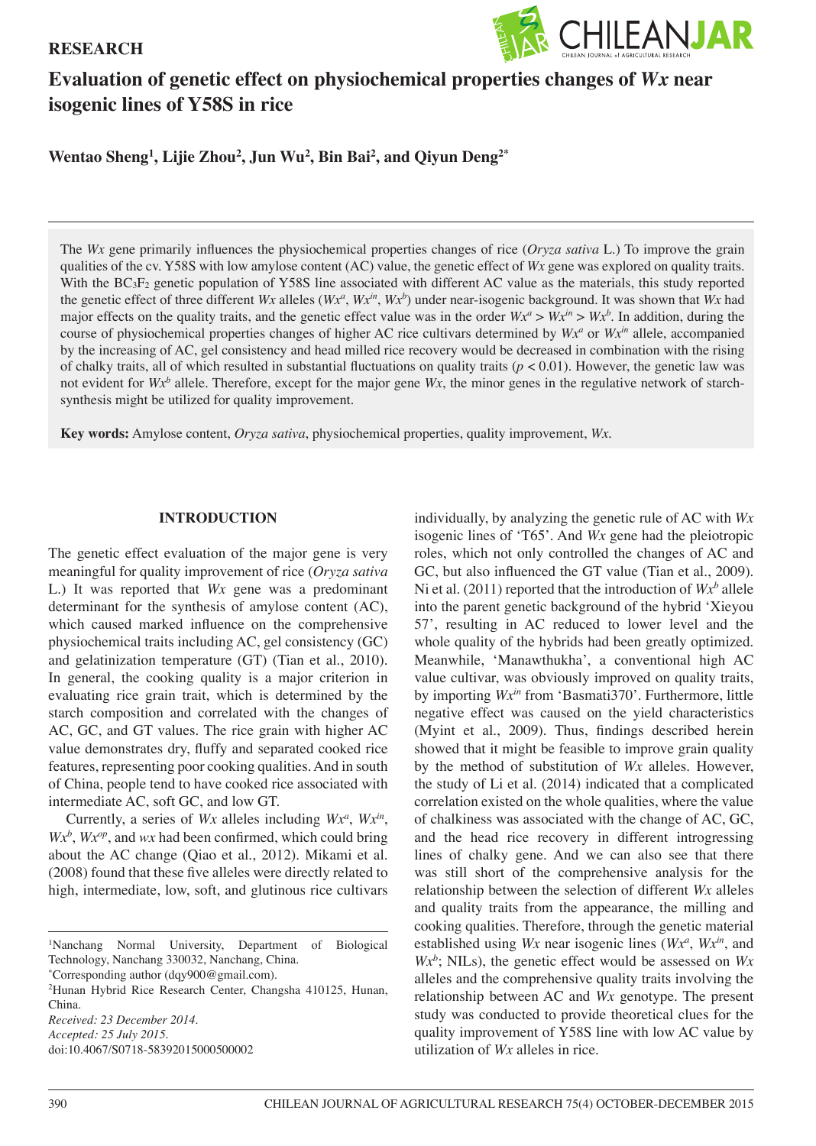## **RESEARCH**



# **Evaluation of genetic effect on physiochemical properties changes of** *Wx* **near isogenic lines of Y58S in rice**

**Wentao Sheng1 , Lijie Zhou2 , Jun Wu2 , Bin Bai2 , and Qiyun Deng2\***

The *Wx* gene primarily influences the physiochemical properties changes of rice (*Oryza sativa* L.) To improve the grain qualities of the cv. Y58S with low amylose content (AC) value, the genetic effect of *Wx* gene was explored on quality traits. With the BC<sub>3</sub>F<sub>2</sub> genetic population of Y58S line associated with different AC value as the materials, this study reported the genetic effect of three different *Wx* alleles  $(Wx^a, Wx^b, Wx^b)$  under near-isogenic background. It was shown that *Wx* had major effects on the quality traits, and the genetic effect value was in the order  $Wx^a > Wx^b$ . In addition, during the course of physiochemical properties changes of higher AC rice cultivars determined by  $Wx^a$  or  $Wx^m$  allele, accompanied by the increasing of AC, gel consistency and head milled rice recovery would be decreased in combination with the rising of chalky traits, all of which resulted in substantial fluctuations on quality traits (*p* < 0.01). However, the genetic law was not evident for  $Wx^b$  allele. Therefore, except for the major gene  $Wx$ , the minor genes in the regulative network of starchsynthesis might be utilized for quality improvement.

**Key words:** Amylose content, *Oryza sativa*, physiochemical properties, quality improvement, *Wx*.

#### **INTRODUCTION**

The genetic effect evaluation of the major gene is very meaningful for quality improvement of rice (*Oryza sativa* L.) It was reported that *Wx* gene was a predominant determinant for the synthesis of amylose content (AC), which caused marked influence on the comprehensive physiochemical traits including AC, gel consistency (GC) and gelatinization temperature (GT) (Tian et al., 2010). In general, the cooking quality is a major criterion in evaluating rice grain trait, which is determined by the starch composition and correlated with the changes of AC, GC, and GT values. The rice grain with higher AC value demonstrates dry, fluffy and separated cooked rice features, representing poor cooking qualities. And in south of China, people tend to have cooked rice associated with intermediate AC, soft GC, and low GT.

Currently, a series of *Wx* alleles including *Wxa* , *Wxin*,  $Wx^b$ ,  $Wx^{op}$ , and  $wx$  had been confirmed, which could bring about the AC change (Qiao et al., 2012). Mikami et al. (2008) found that these five alleles were directly related to high, intermediate, low, soft, and glutinous rice cultivars

1 Nanchang Normal University, Department of Biological Technology, Nanchang 330032, Nanchang, China.

\* Corresponding author (dqy900@gmail.com).

2 Hunan Hybrid Rice Research Center, Changsha 410125, Hunan, China. *Received: 23 December 2014.*

doi:10.4067/S0718-58392015000500002

individually, by analyzing the genetic rule of AC with *Wx* isogenic lines of 'T65'. And *Wx* gene had the pleiotropic roles, which not only controlled the changes of AC and GC, but also influenced the GT value (Tian et al., 2009). Ni et al.  $(2011)$  reported that the introduction of  $Wx^b$  allele into the parent genetic background of the hybrid 'Xieyou 57', resulting in AC reduced to lower level and the whole quality of the hybrids had been greatly optimized. Meanwhile, 'Manawthukha', a conventional high AC value cultivar, was obviously improved on quality traits, by importing *Wxin* from 'Basmati370'. Furthermore, little negative effect was caused on the yield characteristics (Myint et al., 2009). Thus, findings described herein showed that it might be feasible to improve grain quality by the method of substitution of *Wx* alleles. However, the study of Li et al. (2014) indicated that a complicated correlation existed on the whole qualities, where the value of chalkiness was associated with the change of AC, GC, and the head rice recovery in different introgressing lines of chalky gene. And we can also see that there was still short of the comprehensive analysis for the relationship between the selection of different *Wx* alleles and quality traits from the appearance, the milling and cooking qualities. Therefore, through the genetic material established using *Wx* near isogenic lines (*Wx<sup>a</sup>*, *Wx<sup>in</sup>*, and *Wxb* ; NILs), the genetic effect would be assessed on *Wx* alleles and the comprehensive quality traits involving the relationship between AC and *Wx* genotype. The present study was conducted to provide theoretical clues for the quality improvement of Y58S line with low AC value by utilization of *Wx* alleles in rice.

*Accepted: 25 July 2015.*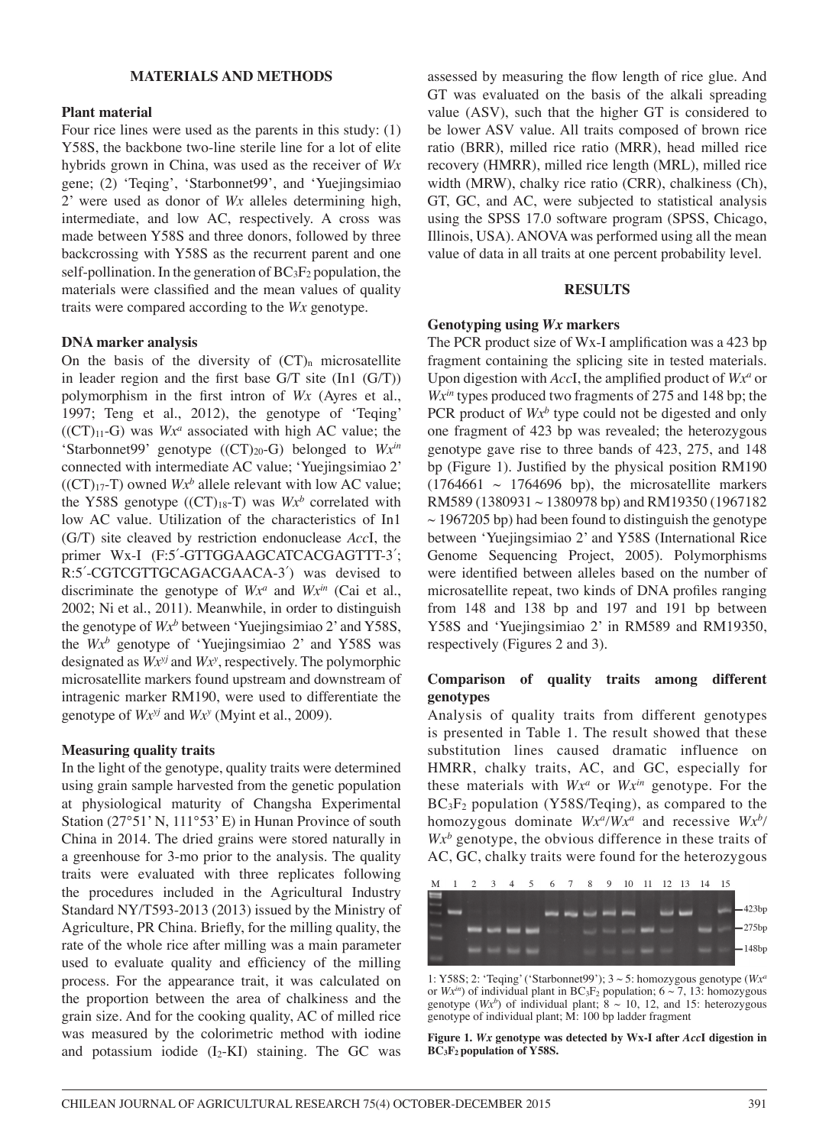#### **MATERIALS AND METHODS**

#### **Plant material**

Four rice lines were used as the parents in this study: (1) Y58S, the backbone two-line sterile line for a lot of elite hybrids grown in China, was used as the receiver of *Wx* gene; (2) 'Teqing', 'Starbonnet99', and 'Yuejingsimiao 2' were used as donor of *Wx* alleles determining high, intermediate, and low AC, respectively. A cross was made between Y58S and three donors, followed by three backcrossing with Y58S as the recurrent parent and one self-pollination. In the generation of  $BC_3F_2$  population, the materials were classified and the mean values of quality traits were compared according to the *Wx* genotype.

#### **DNA marker analysis**

On the basis of the diversity of  $(CT)_n$  microsatellite in leader region and the first base G/T site (In1 (G/T)) polymorphism in the first intron of *Wx* (Ayres et al., 1997; Teng et al., 2012), the genotype of 'Teqing'  $((CT)_{11}-G)$  was  $Wx^a$  associated with high AC value; the 'Starbonnet99' genotype ((CT)20-G) belonged to *Wxin* connected with intermediate AC value; 'Yuejingsimiao 2'  $((CT)_{17}$ -T) owned  $Wx^b$  allele relevant with low AC value; the Y58S genotype  $((CT)_{18}T)$  was  $Wx^b$  correlated with low AC value. Utilization of the characteristics of In1 (G/T) site cleaved by restriction endonuclease *Acc*I, the primer Wx-I (F:5'-GTTGGAAGCATCACGAGTTT-3'; R:5´-CGTCGTTGCAGACGAACA-3´) was devised to discriminate the genotype of  $Wx^a$  and  $Wx^{in}$  (Cai et al., 2002; Ni et al., 2011). Meanwhile, in order to distinguish the genotype of  $Wx^b$  between 'Yuejingsimiao 2' and Y58S, the *Wxb* genotype of 'Yuejingsimiao 2' and Y58S was designated as *Wxyj* and *Wxy* , respectively. The polymorphic microsatellite markers found upstream and downstream of intragenic marker RM190, were used to differentiate the genotype of *Wxyj* and *Wxy* (Myint et al., 2009).

### **Measuring quality traits**

In the light of the genotype, quality traits were determined using grain sample harvested from the genetic population at physiological maturity of Changsha Experimental Station (27°51' N, 111°53' E) in Hunan Province of south China in 2014. The dried grains were stored naturally in a greenhouse for 3-mo prior to the analysis. The quality traits were evaluated with three replicates following the procedures included in the Agricultural Industry Standard NY/T593-2013 (2013) issued by the Ministry of Agriculture, PR China. Briefly, for the milling quality, the rate of the whole rice after milling was a main parameter used to evaluate quality and efficiency of the milling process. For the appearance trait, it was calculated on the proportion between the area of chalkiness and the grain size. And for the cooking quality, AC of milled rice was measured by the colorimetric method with iodine and potassium iodide  $(I_2-KI)$  staining. The GC was assessed by measuring the flow length of rice glue. And GT was evaluated on the basis of the alkali spreading value (ASV), such that the higher GT is considered to be lower ASV value. All traits composed of brown rice ratio (BRR), milled rice ratio (MRR), head milled rice recovery (HMRR), milled rice length (MRL), milled rice width (MRW), chalky rice ratio (CRR), chalkiness (Ch), GT, GC, and AC, were subjected to statistical analysis using the SPSS 17.0 software program (SPSS, Chicago, Illinois, USA). ANOVA was performed using all the mean value of data in all traits at one percent probability level.

#### **RESULTS**

#### **Genotyping using** *Wx* **markers**

The PCR product size of Wx-I amplification was a 423 bp fragment containing the splicing site in tested materials. Upon digestion with *Acc*I, the amplified product of *Wxa* or *Wx<sup>in</sup>* types produced two fragments of 275 and 148 bp; the PCR product of  $Wx^b$  type could not be digested and only one fragment of 423 bp was revealed; the heterozygous genotype gave rise to three bands of 423, 275, and 148 bp (Figure 1). Justified by the physical position RM190  $(1764661 \sim 1764696$  bp), the microsatellite markers RM589 (1380931 ~ 1380978 bp) and RM19350 (1967182  $\sim$  1967205 bp) had been found to distinguish the genotype between 'Yuejingsimiao 2' and Y58S (International Rice Genome Sequencing Project, 2005). Polymorphisms were identified between alleles based on the number of microsatellite repeat, two kinds of DNA profiles ranging from 148 and 138 bp and 197 and 191 bp between Y58S and 'Yuejingsimiao 2' in RM589 and RM19350, respectively (Figures 2 and 3).

### **Comparison of quality traits among different genotypes**

Analysis of quality traits from different genotypes is presented in Table 1. The result showed that these substitution lines caused dramatic influence on HMRR, chalky traits, AC, and GC, especially for these materials with *Wxa* or *Wxin* genotype. For the BC3F2 population (Y58S/Teqing), as compared to the homozygous dominate *Wxa/Wxa* and recessive *Wxb/*  $Wx^b$  genotype, the obvious difference in these traits of AC, GC, chalky traits were found for the heterozygous



1: Y58S; 2: 'Teqing' ('Starbonnet99'); 3 ~ 5: homozygous genotype (*Wxa* or  $Wx^{in}$ ) of individual plant in  $BC_3F_2$  population;  $6 \sim 7$ , 13: homozygous genotype  $(Wx^b)$  of individual plant;  $8 \sim 10$ , 12, and 15: heterozygous genotype of individual plant; M: 100 bp ladder fragment

**Figure 1.** *Wx* **genotype was detected by Wx-I after** *Acc***I digestion in BC3F2 population of Y58S.**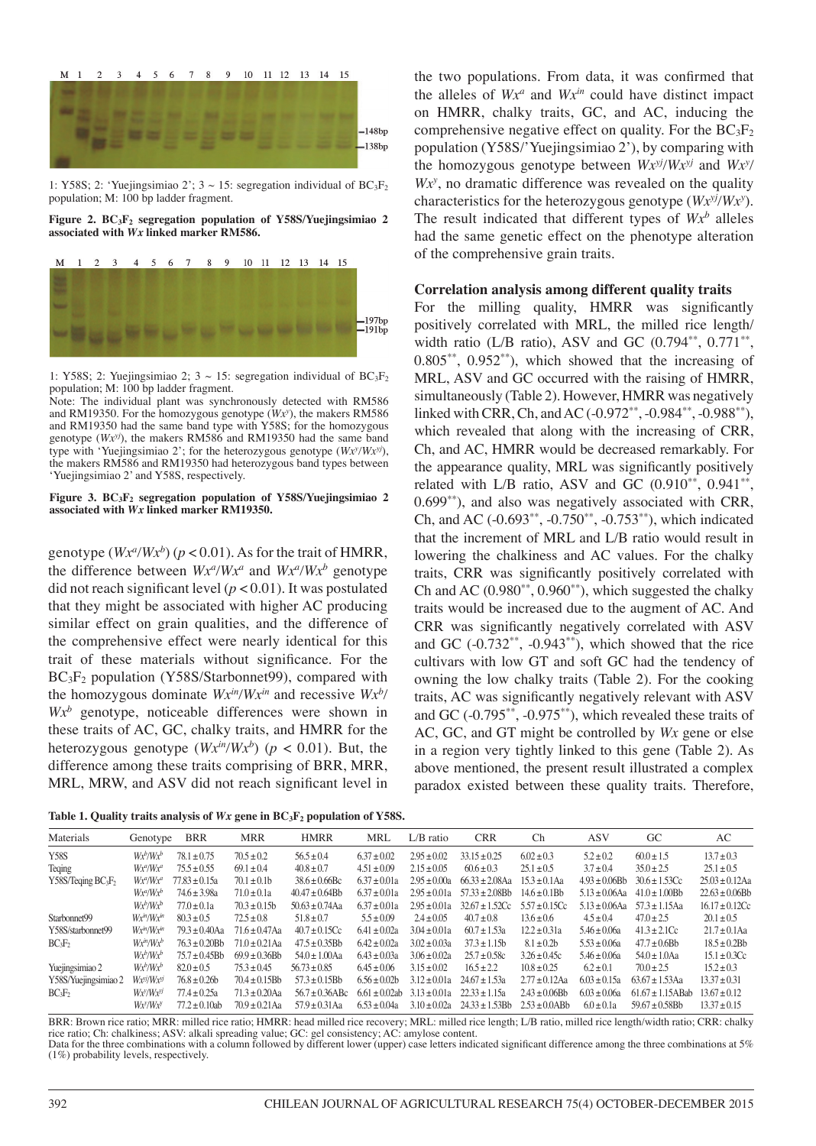

1: Y58S; 2: 'Yuejingsimiao 2';  $3 \sim 15$ : segregation individual of BC<sub>3</sub>F<sub>2</sub> population; M: 100 bp ladder fragment.

**Figure 2. BC3F2 segregation population of Y58S/Yuejingsimiao 2 associated with** *Wx* **linked marker RM586.**



**有限的消**度活在度

1: Y58S; 2: Yuejingsimiao 2;  $3 \sim 15$ : segregation individual of BC<sub>3</sub>F<sub>2</sub> population; M: 100 bp ladder fragment.

Note: The individual plant was synchronously detected with RM586 and RM19350. For the homozygous genotype (*Wxy* ), the makers RM586 and RM19350 had the same band type with Y58S; for the homozygous genotype (*Wxyj*), the makers RM586 and RM19350 had the same band type with 'Yuejingsimiao 2'; for the heterozygous genotype (*Wxy /Wxyj*), the makers RM586 and RM19350 had heterozygous band types between 'Yuejingsimiao 2' and Y58S, respectively.

#### **Figure 3. BC3F2 segregation population of Y58S/Yuejingsimiao 2 associated with** *Wx* **linked marker RM19350.**

genotype  $(Wx^a/Wx^b)$  ( $p < 0.01$ ). As for the trait of HMRR, the difference between  $Wx^a/Wx^a$  and  $Wx^a/Wx^b$  genotype did not reach significant level (*p* < 0.01). It was postulated that they might be associated with higher AC producing similar effect on grain qualities, and the difference of the comprehensive effect were nearly identical for this trait of these materials without significance. For the BC<sub>3</sub>F<sub>2</sub> population (Y58S/Starbonnet99), compared with the homozygous dominate  $Wx^{in}/Wx^{in}$  and recessive  $Wx^{b}$ *Wxb* genotype, noticeable differences were shown in these traits of AC, GC, chalky traits, and HMRR for the heterozygous genotype  $(Wx^{in}/Wx^b)$  ( $p < 0.01$ ). But, the difference among these traits comprising of BRR, MRR, MRL, MRW, and ASV did not reach significant level in

|  |  | Table 1. Quality traits analysis of $Wx$ gene in $BC_3F_2$ population of Y58S. |  |  |  |  |
|--|--|--------------------------------------------------------------------------------|--|--|--|--|
|--|--|--------------------------------------------------------------------------------|--|--|--|--|

the two populations. From data, it was confirmed that the alleles of  $Wx^a$  and  $Wx^{\text{in}}$  could have distinct impact on HMRR, chalky traits, GC, and AC, inducing the comprehensive negative effect on quality. For the  $BC_3F_2$ population (Y58S/'Yuejingsimiao 2'), by comparing with the homozygous genotype between  $Wx^{y/2}/Wx^{y/2}$  and  $Wx^{y/2}$ *Wx<sup>y</sup>*, no dramatic difference was revealed on the quality characteristics for the heterozygous genotype (*Wxyj/Wxy* ). The result indicated that different types of  $Wx^b$  alleles had the same genetic effect on the phenotype alteration of the comprehensive grain traits.

#### **Correlation analysis among different quality traits**

For the milling quality, HMRR was significantly positively correlated with MRL, the milled rice length/ width ratio (L/B ratio), ASV and GC  $(0.794^{**}, 0.771^{**},$  $0.805^{**}$ ,  $0.952^{**}$ ), which showed that the increasing of MRL, ASV and GC occurred with the raising of HMRR, simultaneously (Table 2). However, HMRR was negatively linked with CRR, Ch, and AC (-0.972<sup>\*\*</sup>, -0.984<sup>\*\*</sup>, -0.988<sup>\*\*</sup>), which revealed that along with the increasing of CRR, Ch, and AC, HMRR would be decreased remarkably. For the appearance quality, MRL was significantly positively related with L/B ratio, ASV and GC  $(0.910^{**}, 0.941^{**},$ 0.699\*\*), and also was negatively associated with CRR, Ch, and AC (-0.693\*\*, -0.750\*\*, -0.753\*\*), which indicated that the increment of MRL and L/B ratio would result in lowering the chalkiness and AC values. For the chalky traits, CRR was significantly positively correlated with Ch and AC  $(0.980^{**}, 0.960^{**})$ , which suggested the chalky traits would be increased due to the augment of AC. And CRR was significantly negatively correlated with ASV and GC  $(-0.732<sup>**</sup>, -0.943<sup>**</sup>)$ , which showed that the rice cultivars with low GT and soft GC had the tendency of owning the low chalky traits (Table 2). For the cooking traits, AC was significantly negatively relevant with ASV and GC (-0.795\*\*, -0.975\*\*), which revealed these traits of AC, GC, and GT might be controlled by *Wx* gene or else in a region very tightly linked to this gene (Table 2). As above mentioned, the present result illustrated a complex paradox existed between these quality traits. Therefore,

| Materials                                  | Genotype                         | <b>BRR</b>         | <b>MRR</b>         | <b>HMRR</b>        | <b>MRL</b>      | $L/B$ ratio    | <b>CRR</b>          | Ch               | ASV                | GС                    | AC                  |
|--------------------------------------------|----------------------------------|--------------------|--------------------|--------------------|-----------------|----------------|---------------------|------------------|--------------------|-----------------------|---------------------|
| <b>Y58S</b>                                | $Wx^b/Wx^b$                      | $78.1 \pm 0.75$    | $70.5 \pm 0.2$     | $56.5 \pm 0.4$     | $6.37 \pm 0.02$ | $2.95 + 0.02$  | $33.15 \pm 0.25$    | $6.02 \pm 0.3$   | $5.2 \pm 0.2$      | $60.0 \pm 1.5$        | $13.7 \pm 0.3$      |
| Teqing                                     | Wx <sup>a</sup> /Wx <sup>a</sup> | $75.5 \pm 0.55$    | $69.1 \pm 0.4$     | $40.8 \pm 0.7$     | $4.51 \pm 0.09$ | $2.15 + 0.05$  | $60.6 \pm 0.3$      | $25.1 \pm 0.5$   | $3.7 \pm 0.4$      | $35.0 \pm 2.5$        | $25.1 \pm 0.5$      |
| Y58S/Teqing BC <sub>3</sub> F <sub>2</sub> | $W x^a W x^a$                    | $77.83 \pm 0.15a$  | $70.1 \pm 0.1$     | $38.6 \pm 0.66$ Bc | $6.37 + 0.01a$  | $2.95 + 0.00a$ | $66.33 + 2.08$ Aa   | $15.3 + 0.1$ Aa  | $4.93 + 0.06$ Bh   | $30.6 + 1.53$ Cc      | $25.03 \pm 0.12$ Aa |
|                                            | $Wx^a/Wx^b$                      | $74.6 + 3.98a$     | $71.0 \pm 0.1a$    | $40.47 + 0.64$ Bh  | $6.37 + 0.01a$  | $2.95 + 0.01a$ | $57.33 + 2.08$ Bh   | $14.6 + 0.1Bh$   | $5.13 + 0.06$ Aa   | $41.0 + 1.00$ Bb      | $22.63 + 0.06Bh$    |
|                                            | $Wx^b/Wx^b$                      | $77.0 + 0.1a$      | $70.3 + 0.15h$     | $50.63 + 0.74$ Aa  | $6.37 + 0.01a$  | $2.95 + 0.01a$ | $32.67 \pm 1.52$ Cc | $5.57 + 0.15$ Cc | $5.13 \pm 0.06$ Aa | $57.3 + 1.15$ Aa      | $16.17 \pm 0.12$ Cc |
| Starbonnet99                               | $Wx^m/Wx^m$                      | $80.3 \pm 0.5$     | $72.5 \pm 0.8$     | $51.8 \pm 0.7$     | $5.5 \pm 0.09$  | $2.4 \pm 0.05$ | $40.7 \pm 0.8$      | $13.6 \pm 0.6$   | $4.5 \pm 0.4$      | $47.0 \pm 2.5$        | $20.1 \pm 0.5$      |
| Y58S/starbonnet99                          | $Wx^m/Wx^m$                      | $79.3 + 0.40$ Aa   | $71.6 + 0.47$ Aa   | $40.7 + 0.15$ Cc   | $6.41 + 0.02a$  | $3.04 + 0.01a$ | $60.7 \pm 1.53a$    | $12.2 \pm 0.31a$ | $5.46 \pm 0.06a$   | $41.3 \pm 2.1$ Cc     | $21.7 + 0.1$ Aa     |
| $BC_3F_2$                                  | $Wx^m/Wx^b$                      | $76.3 + 0.20$ Bh   | $71.0 + 0.21$ Aa   | $47.5 + 0.35$ Bh   | $6.42 + 0.02a$  | $3.02 + 0.03a$ | $37.3 \pm 1.15b$    | $8.1 \pm 0.2b$   | $5.53 + 0.06a$     | $47.7 + 0.6$ Bh       | $18.5 + 0.2$ Bh     |
|                                            | $W x^b W x^b$                    | $75.7 \pm 0.45$ Bb | $69.9 \pm 0.36$ Bb | $54.0 \pm 1.00$ Aa | $6.43 + 0.03a$  | $3.06 + 0.02a$ | $25.7 \pm 0.58c$    | $3.26 \pm 0.45c$ | $5.46 \pm 0.06a$   | $54.0 \pm 1.0$ Aa     | $15.1 \pm 0.3$ Cc   |
| Yuejingsimiao 2                            | $W x^b W x^b$                    | $82.0 + 0.5$       | $75.3 \pm 0.45$    | $56.73 \pm 0.85$   | $6.45 + 0.06$   | $3.15 + 0.02$  | $16.5 + 2.2$        | $10.8 \pm 0.25$  | $6.2 + 0.1$        | $70.0 + 2.5$          | $15.2 \pm 0.3$      |
| Y58S/Yuejingsimiao 2                       | Wxy/Wxy                          | $76.8 + 0.26h$     | $70.4 + 0.15$ Bh   | $57.3 + 0.15$ Bh   | $6.56 + 0.02h$  | $3.12 + 0.01a$ | $24.67 \pm 1.53a$   | $2.77 + 0.12$ Aa | $6.03 \pm 0.15a$   | $63.67 + 1.53$ Aa     | $13.37 \pm 0.31$    |
| $BC_3F_2$                                  | Wxy/Wxy                          | $77.4 + 0.25a$     | $71.3 + 0.20$ Aa   | $56.7 + 0.36$ ABc  | $6.61 + 0.02ab$ | $3.13 + 0.01a$ | $22.33 \pm 1.15a$   | $2.43 + 0.06Bh$  | $6.03 + 0.06a$     | $61.67 \pm 1.15$ ABab | $13.67 + 0.12$      |
|                                            | Wxy/Wxy                          | $77.2 + 0.10$ ab   | $70.9 + 0.21$ Aa   | $57.9 + 0.31$ Aa   | $6.53 + 0.04a$  | $3.10 + 0.02a$ | $24.33 + 1.53Bh$    | $2.53 + 0.0$ ABb | $6.0 + 0.1a$       | $59.67 + 0.58$ Bh     | $13.37 + 0.15$      |

 $-197bp$ <br>-191bp

BRR: Brown rice ratio; MRR: milled rice ratio; HMRR: head milled rice recovery; MRL: milled rice length; L/B ratio, milled rice length/width ratio; CRR: chalky rice ratio; Ch: chalkiness; ASV: alkali spreading value; GC: gel consistency; AC: amylose content. Data for the three combinations with a column followed by different lower (upper) case letters indicated significant difference among the three combinations at 5% (1%) probability levels, respectively.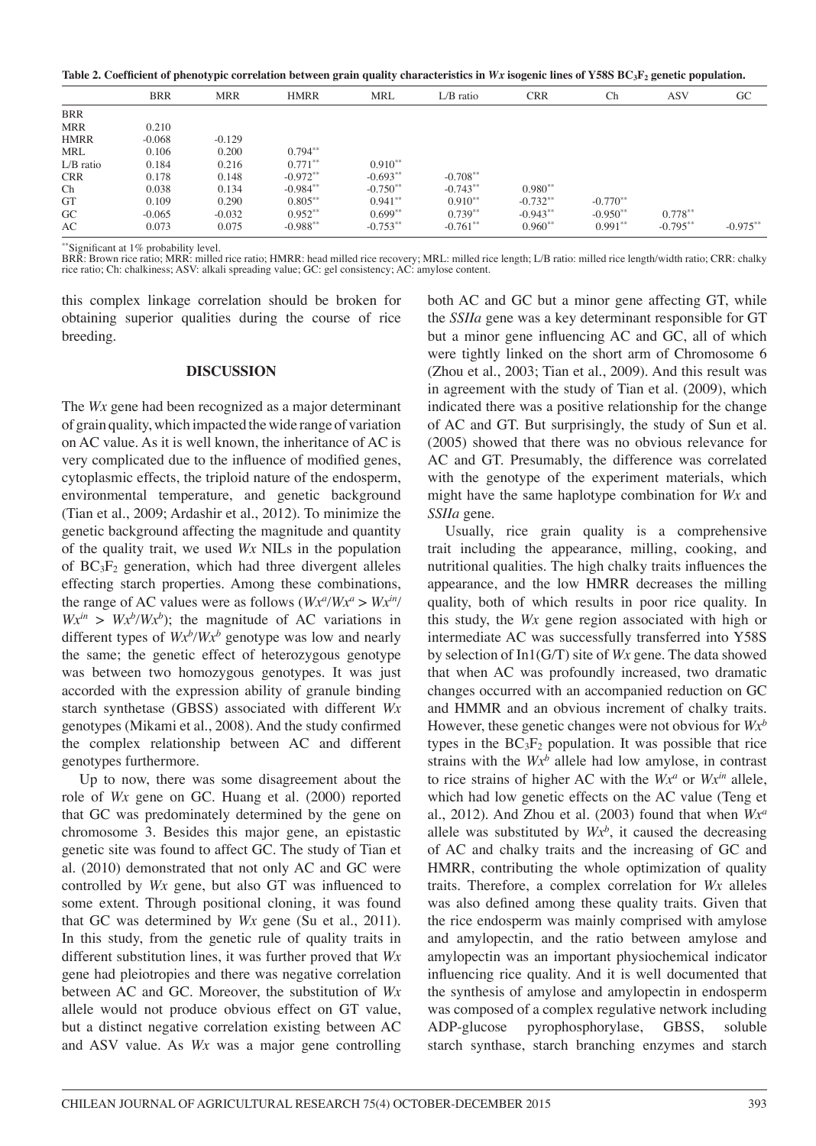Table 2. Coefficient of phenotypic correlation between grain quality characteristics in Wx isogenic lines of Y58S BC3F<sub>2</sub> genetic population.

|             | <b>BRR</b> | <b>MRR</b> | <b>HMRR</b> | <b>MRL</b>  | $L/B$ ratio | <b>CRR</b> | Ch         | ASV         | GC          |
|-------------|------------|------------|-------------|-------------|-------------|------------|------------|-------------|-------------|
| <b>BRR</b>  |            |            |             |             |             |            |            |             |             |
| <b>MRR</b>  | 0.210      |            |             |             |             |            |            |             |             |
| <b>HMRR</b> | $-0.068$   | $-0.129$   |             |             |             |            |            |             |             |
| <b>MRL</b>  | 0.106      | 0.200      | $0.794***$  |             |             |            |            |             |             |
| $L/B$ ratio | 0.184      | 0.216      | $0.771***$  | $0.910**$   |             |            |            |             |             |
| <b>CRR</b>  | 0.178      | 0.148      | $-0.972***$ | $-0.693**$  | $-0.708***$ |            |            |             |             |
| Ch          | 0.038      | 0.134      | $-0.984***$ | $-0.750**$  | $-0.743**$  | $0.980**$  |            |             |             |
| GT          | 0.109      | 0.290      | $0.805***$  | $0.941**$   | $0.910**$   | $-0.732**$ | $-0.770**$ |             |             |
| $G_{\rm C}$ | $-0.065$   | $-0.032$   | $0.952**$   | $0.699**$   | $0.739**$   | $-0.943**$ | $-0.950**$ | $0.778**$   |             |
| AC          | 0.073      | 0.075      | $-0.988***$ | $-0.753***$ | $-0.761**$  | $0.960**$  | $0.991**$  | $-0.795***$ | $-0.975***$ |

\*\*Significant at 1% probability level.

BRR: Brown rice ratio; MRR: milled rice ratio; HMRR: head milled rice recovery; MRL: milled rice length; L/B ratio: milled rice length/width ratio; CRR: chalky rice ratio; Ch: chalkiness; ASV: alkali spreading value; GC: gel consistency; AC: amylose content.

this complex linkage correlation should be broken for obtaining superior qualities during the course of rice breeding.

#### **DISCUSSION**

The *Wx* gene had been recognized as a major determinant of grain quality, which impacted the wide range of variation on AC value. As it is well known, the inheritance of AC is very complicated due to the influence of modified genes, cytoplasmic effects, the triploid nature of the endosperm, environmental temperature, and genetic background (Tian et al., 2009; Ardashir et al., 2012). To minimize the genetic background affecting the magnitude and quantity of the quality trait, we used *Wx* NILs in the population of BC3F2 generation, which had three divergent alleles effecting starch properties. Among these combinations, the range of AC values were as follows  $(Wx^a/Wx^a > Wx^{\text{in}})$  $Wx^{in} > Wx^{b}/Wx^{b}$ ; the magnitude of AC variations in different types of  $Wx^b/Wx^b$  genotype was low and nearly the same; the genetic effect of heterozygous genotype was between two homozygous genotypes. It was just accorded with the expression ability of granule binding starch synthetase (GBSS) associated with different *Wx* genotypes (Mikami et al., 2008). And the study confirmed the complex relationship between AC and different genotypes furthermore.

Up to now, there was some disagreement about the role of *Wx* gene on GC. Huang et al. (2000) reported that GC was predominately determined by the gene on chromosome 3. Besides this major gene, an epistastic genetic site was found to affect GC. The study of Tian et al. (2010) demonstrated that not only AC and GC were controlled by *Wx* gene, but also GT was influenced to some extent. Through positional cloning, it was found that GC was determined by *Wx* gene (Su et al., 2011). In this study, from the genetic rule of quality traits in different substitution lines, it was further proved that *Wx*  gene had pleiotropies and there was negative correlation between AC and GC. Moreover, the substitution of *Wx*  allele would not produce obvious effect on GT value, but a distinct negative correlation existing between AC and ASV value. As *Wx* was a major gene controlling both AC and GC but a minor gene affecting GT, while the *SSIIa* gene was a key determinant responsible for GT but a minor gene influencing AC and GC, all of which were tightly linked on the short arm of Chromosome 6 (Zhou et al., 2003; Tian et al., 2009). And this result was in agreement with the study of Tian et al. (2009), which indicated there was a positive relationship for the change of AC and GT. But surprisingly, the study of Sun et al. (2005) showed that there was no obvious relevance for AC and GT. Presumably, the difference was correlated with the genotype of the experiment materials, which might have the same haplotype combination for *Wx* and *SSIIa* gene.

Usually, rice grain quality is a comprehensive trait including the appearance, milling, cooking, and nutritional qualities. The high chalky traits influences the appearance, and the low HMRR decreases the milling quality, both of which results in poor rice quality. In this study, the *Wx* gene region associated with high or intermediate AC was successfully transferred into Y58S by selection of In1(G/T) site of *Wx* gene. The data showed that when AC was profoundly increased, two dramatic changes occurred with an accompanied reduction on GC and HMMR and an obvious increment of chalky traits. However, these genetic changes were not obvious for *Wxb* types in the  $BC_3F_2$  population. It was possible that rice strains with the  $Wx^b$  allele had low amylose, in contrast to rice strains of higher AC with the  $Wx^a$  or  $Wx^{in}$  allele, which had low genetic effects on the AC value (Teng et al., 2012). And Zhou et al. (2003) found that when *Wxa* allele was substituted by  $Wx^b$ , it caused the decreasing of AC and chalky traits and the increasing of GC and HMRR, contributing the whole optimization of quality traits. Therefore, a complex correlation for *Wx* alleles was also defined among these quality traits. Given that the rice endosperm was mainly comprised with amylose and amylopectin, and the ratio between amylose and amylopectin was an important physiochemical indicator influencing rice quality. And it is well documented that the synthesis of amylose and amylopectin in endosperm was composed of a complex regulative network including ADP-glucose pyrophosphorylase, GBSS, soluble starch synthase, starch branching enzymes and starch